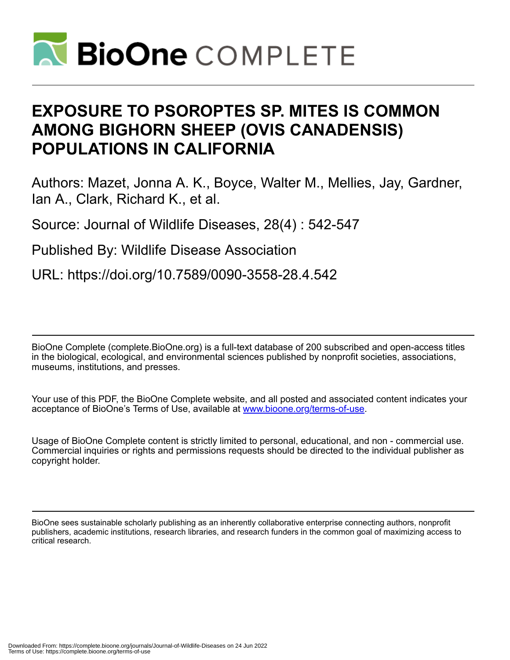

# **EXPOSURE TO PSOROPTES SP. MITES IS COMMON AMONG BIGHORN SHEEP (OVIS CANADENSIS) POPULATIONS IN CALIFORNIA**

Authors: Mazet, Jonna A. K., Boyce, Walter M., Mellies, Jay, Gardner, Ian A., Clark, Richard K., et al.

Source: Journal of Wildlife Diseases, 28(4) : 542-547

Published By: Wildlife Disease Association

URL: https://doi.org/10.7589/0090-3558-28.4.542

BioOne Complete (complete.BioOne.org) is a full-text database of 200 subscribed and open-access titles in the biological, ecological, and environmental sciences published by nonprofit societies, associations, museums, institutions, and presses.

Your use of this PDF, the BioOne Complete website, and all posted and associated content indicates your acceptance of BioOne's Terms of Use, available at www.bioone.org/terms-of-use.

Usage of BioOne Complete content is strictly limited to personal, educational, and non - commercial use. Commercial inquiries or rights and permissions requests should be directed to the individual publisher as copyright holder.

BioOne sees sustainable scholarly publishing as an inherently collaborative enterprise connecting authors, nonprofit publishers, academic institutions, research libraries, and research funders in the common goal of maximizing access to critical research.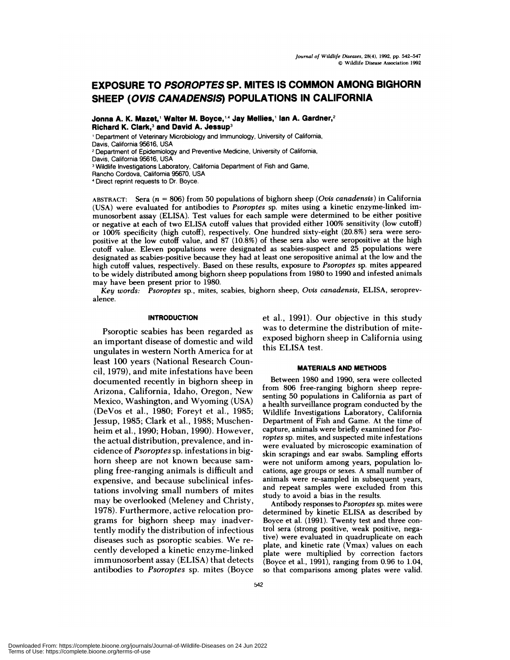# **EXPOSURE TO PSOROPTES SP. MITES IS COMMON AMONG BIGHORN SHEEP (OVIS CANADENSIS) POPULATIONS IN CALIFORNIA**

**Jonna A.K. Mazet, Walter M. Boyce,'4 Jay Meflies,1 Ian A. Gardner,2 Richard K.** Clark,3 **and David A. Jessup3**

'Department of Veterinary Microbiology and Immunology, University of California, Davis, California 95616, USA

<sup>2</sup> Department of Epidemiology and Preventive Medicine, University of California, Davis, California 95616, USA

<sup>3</sup> Wildlife Investigations Laboratory, California Department of Fish and Game,

Rancho Cordova, California 95670, USA

Direct reprint requests to Dr. Boyce.

ABSTRACT: Sera (n = 806) from 50 populations of bighorn sheep *(Ovis canadensis)* in California (USA) were evaluated for antibodies to *Psoroptes* sp. mites using a kinetic enzyme-linked immunosorbent assay (ELISA). Test values for each sample were determined to be either positive or negative at each of two ELISA cutoff values that provided either 100% sensitivity (low cutoff) or 100% specificity (high cutoff), respectively. One hundred sixty-eight (20.8%) sera were sero positive at the low cutoff value, and 87 (10.8%) of these sera also were seropositive at the high cutoff value. Eleven populations were designated as scabies-suspect and 25 populations were designated as scabies-positive because they had atleast one seropositive animal at the low and the high cutoff values, respectively. Based on these results, exposure to *Psoroptes* sp. mites appeared to be widely distributed among bighorn sheep populations from 1980 to 1990 and infested animals may have been present prior to 1980.

*Key words: Psoroptes* **sp.,** mites, scabies, bighorn sheep, *Ovis canadensis,* ELISA, seroprevalence.

## **INTRODUCTION**

Psoroptic scabies has been regarded as an important disease of domestic and wild ungulates in western North America for at least 100 years (National Research Council, 1979), and mite infestations have been documented recently in bighorn sheep in Arizona, California, Idaho, Oregon, New Mexico, Washington, and Wyoming (USA) (DeVos et al., 1980; Foreyt et al., 1985; Jessup, 1985; Clark et al., 1988; Muschenheim et al.,1990; Hoban, 1990). However, the actual distribution, prevalence, and incidence of *Psonoptes* sp. infestations in bighorn sheep are not known because sam pling free-ranging animals is difficult and expensive, and because subclinical infestations involving small numbers of mites may be overlooked (Meleney and Christy, 1978). Furthermore, active relocation programs for bighorn sheep may inadvertently modify the distribution of infectious diseases such as psonoptic scabies. We re cently developed a kinetic enzyme-linked immunosorbent assay (ELISA) that detects antibodies to *Psonoptes* sp. mites (Boyce

et a!., 1991). Our objective in this study was to determine the distribution of miteexposed bighorn sheep in California using this ELISA test.

## **MATERIALS AND METHODS**

Between 1980 and 1990, sera were collected from 806 free-ranging bighorn sheep representing 50 populations in California as part of a health surveillance program conducted by the Wildlife Investigations Laboratory, California Department of Fish and Game. At the time of capture, animals were briefly examined for *Psoroptes* sp. mites, and suspected mite infestations were evaluated by microscopic examination of skin scrapings and ear swabs. Sampling efforts were not uniform among years, population locations, age groups or sexes. A small number of animals were re-sampled in subsequent years, and repeat samples were excluded from this study to avoid a bias in the results.

Antibody responses to *Psoroptes* sp. mites were determined by kinetic ELISA as described by Boyce et al. (1991). Twenty test and three control sera (strong positive, weak positive, negative) were evaluated in quadruplicate on each plate, and kinetic rate  $(\bar{V}$ max) values on each plate were multiplied by correction factors (Boyce et a!., 1991), ranging from 0.96 to 1.04, so that comparisons among plates were valid.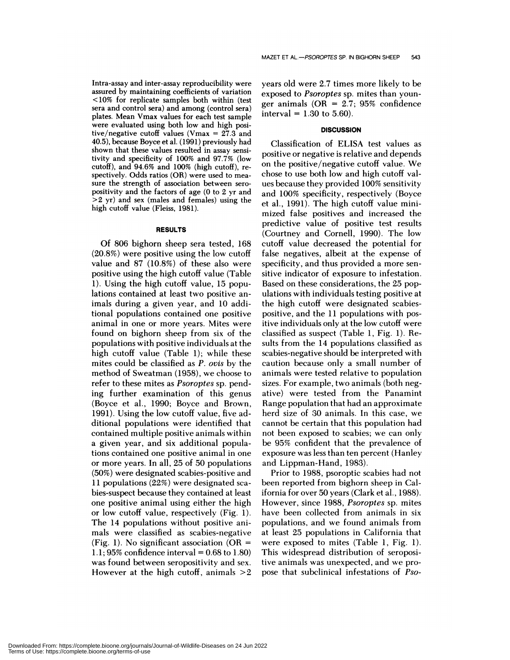Intra-assay and inter-assay reproducibility were assured by maintaining coefficients of variation <10% for replicate samples both within (test sera and control sera) and among (control sera) plates. Mean Vmax values for each test sample were evaluated using both low and high positive/negative cutoff values (Vmax <sup>=</sup> 27.3 and 40.5), because Boyce et al. (1991) previously had shown that these values resulted in assay sensitivity and specificity of  $100\%$  and  $97.7\%$  (low cutoff), and 94.6% and 100% (high cutoff), re spectively. Odds ratios (OR) were used to mea sure the strength of association between sero positivity and the factors of age (0 to 2 yr and >2 **yr)** and sex (males and females) using the high cutoff value (Fleiss, 1981).

# **RESULTS**

Of 806 bighorn sheep sera tested, 168 (20.8%) were positive using the low cutoff value and 87 (10.8%) of these also were positive using the high cutoff value (Table 1). Using the high cutoff value, 15 populations contained at least two positive animals during a given year, and 10 additional populations contained one positive animal in one on more years. Mites were found on bighorn sheep from six of the populations with positive individuals at the high cutoff value (Table 1); while these mites could be classified as *P. ovis* by the method of Sweatman (1958), we choose to refer to these mites as *Psonoptes* sp. pending further examination of this genus (Boyce et al., 1990; Boyce and Brown, 1991). Using the low cutoff value, five additional populations were identified that contained multiple positive animals within a given year, and six additional populations contained one positive animal in one or more years. In all,25 of 50 populations (50%) were designated scabies-positive and 11 populations (22%) were designated sea bies-suspect because they contained at least one positive animal using either the high or low cutoff value, respectively  $(Fig. 1)$ . The 14 populations without positive animals were classified as scabies-negative (Fig. 1). No significant association ( $OR =$  $1.1:95\%$  confidence interval = 0.68 to 1.80) was found between seropositivity and sex. However at the high cutoff, animals  $>2$  years old were 2.7 times more likely to be exposed to *Psoroptes* sp. mites than younger animals (OR  $= 2.7$ ; 95% confidence interval =  $1.30$  to 5.60).

#### **DISCUSSION**

Classification of ELISA test values as positive on negative is relative and depends on the positive/negative cutoff value. We chose to use both low and high cutoff val ues because they provided 100% sensitivity and 100% specificity, respectively (Boyce et al., 1991). The high cutoff value minimized false positives and increased the predictive value of positive test results (Courtney and Cornell, 1990). The low cutoff value decreased the potential for false negatives, albeit at the expense of specificity, and thus provided a more sen sitive indicator of exposure to infestation. Based on these considerations, the 25 populations with individuals testing positive at the high cutoff were designated scabiespositive, and the 11 populations with positive individuals only at the low cutoff were classified as suspect (Table 1, Fig. 1). Results from the 14 populations classified as scabies-negative should be interpreted with caution because only a small number of animals were tested relative to population sizes. For example, two animals (both negative) were tested from the Panamint Range population that had an approximate herd size of 30 animals. In this case, we cannot be certain that this population had not been exposed to scabies; we can only be 95% confident that the prevalence of exposure was less than ten percent (Hanley and Lippman-Hand, 1983).

Prior to 1988, psonoptic scabies had not been reported from bighorn sheep in California for over 50 years (Clark et a!., 1988). However, since 1988, *Psoroptes* sp. mites have been collected from animals in six populations, and we found animals from at least 25 populations in California that were exposed to mites (Table 1, Fig. 1). This widespread distribution of seropositive animals was unexpected, and we propose that subclinical infestations of *Pso-*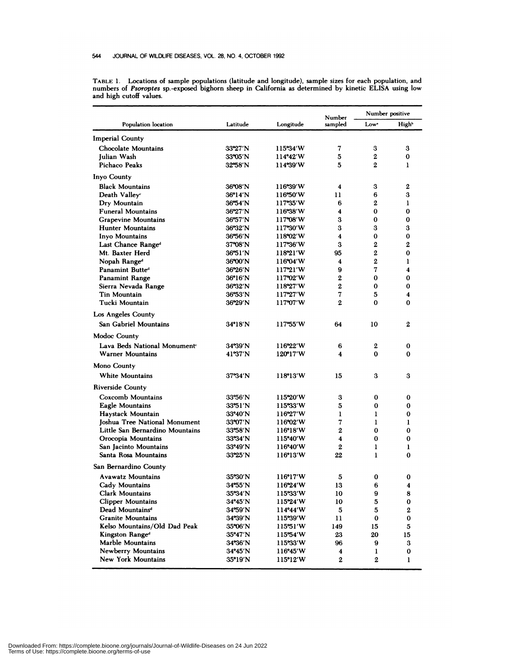| Population location                  | Latitude          | Longitude         | Number<br>sampled | Number positive  |                   |
|--------------------------------------|-------------------|-------------------|-------------------|------------------|-------------------|
|                                      |                   |                   |                   | Low <sup>*</sup> | High <sup>b</sup> |
| <b>Imperial County</b>               |                   |                   |                   |                  |                   |
| <b>Chocolate Mountains</b>           | 33°27′N           | 115°34'W          | 7                 | 3                | 3                 |
| Julian Wash                          | 33°05'N           | 114°42′W          | 5                 | 2                | 0                 |
| Pichaco Peaks                        | 32°58′N           | 114°39′W          | 5                 | 2                | 1                 |
| Inyo County                          |                   |                   |                   |                  |                   |
| <b>Black Mountains</b>               | 36°08′N           | 116°39'W          | 4                 | 3                | $\mathbf{2}$      |
| Death Valley <sup>c</sup>            | 36°14′N           | 116°50'W          | 11                | 6                | 3                 |
| Dry Mountain                         | 36°54′N           | 117°35'W          | 6                 | 2                | 1                 |
| <b>Funeral Mountains</b>             | 36°27'N           | 116°38′W          | 4                 | 0                | $\bf{0}$          |
| <b>Grapevine Mountains</b>           | 36°57′N           | $117^{\circ}08'W$ | 3                 | 0                | 0                 |
| <b>Hunter Mountains</b>              | 36°32′N           | 117°30′W          | 3                 | 3                | 3                 |
| Inyo Mountains                       | 36°56'N           | 118°02'W          | 4                 | 0                | 0                 |
| Last Chance Range <sup>d</sup>       | 37°08′N           | 117°36′W          | 3                 | 2                | $\mathbf{2}$      |
| Mt. Baxter Herd                      | 36°51′N           | 118°21'W          | 95                | 2                | 0                 |
| Nopah Range <sup>d</sup>             | 36°00'N           | 116°04'W          | 4                 | 2                | 1                 |
| Panamint Butted                      | $36^{\circ}26'$ N | 117°21'W          | 9                 | 7                | 4                 |
| <b>Panamint Range</b>                | $36^{\circ}16'$ N | $117^{\circ}02'W$ | $\boldsymbol{2}$  | 0                | 0                 |
| Sierra Nevada Range                  | 36°32'N           | 118°27'W          | 2                 | 0                | 0                 |
| Tin Mountain                         | 36°53'N           | 117°27′W          | 7                 | 5                | 4                 |
| Tucki Mountain                       | 36°29'N           | 117°07′W          | $\mathbf{2}$      | 0                | 0                 |
| Los Angeles County                   |                   |                   |                   |                  |                   |
| <b>San Gabriel Mountains</b>         | $34^{\circ}18'$ N | 117°55'W          | 64                | 10               | $\mathbf{2}$      |
| Modoc County                         |                   |                   |                   |                  |                   |
| Lava Beds National Monuments         | 34°39'N           | 116°22'W          | 6                 | 2                | 0                 |
| <b>Warner Mountains</b>              | 41°37'N           | 120°17'W          | 4                 | 0                | 0                 |
| Mono County                          |                   |                   |                   |                  |                   |
| White Mountains                      | $37^{\circ}34'$ N | 118°13'W          | 15                | 3                | 3                 |
| <b>Riverside County</b>              |                   |                   |                   |                  |                   |
| Coxcomb Mountains                    | $33°56'$ N        | 115°20′W          | 3                 | 0                | 0                 |
| Eagle Mountains                      | $33^{\circ}51'$ N | 115°33′W          | 5                 | 0                | 0                 |
| Haystack Mountain                    | 33°40'N           | $116^{\circ}27'W$ | ı                 | 1                | 0                 |
| <b>Joshua Tree National Monument</b> | $33^{\circ}07'$ N | 116°02′W          | 7                 | 1                | 1                 |
| Little San Bernardino Mountains      | 33°58'N           | 116°18'W          | $\overline{2}$    | $\bf{0}$         | $\Omega$          |
| Orocopia Mountains                   | 33°34'N           | 115°40′W          | 4                 | 0                | 0                 |
| San Jacinto Mountains                | $33^{\circ}49'$ N | 116°40′W          | 2                 | 1                | 1                 |
| Santa Rosa Mountains                 | 33°25'N           | 116°13'W          | 22                | $\mathbf{I}$     | 0                 |
| San Bernardino County                |                   |                   |                   |                  |                   |
| <b>Avawatz Mountains</b>             | 35°30′N           | 116°17'W          | 5                 | 0                | 0                 |
| Cady Mountains                       | 34°55'N           | 116°24'W          | 13                | 6                | 4                 |
| <b>Clark Mountains</b>               | $35^{\circ}34'$ N | 115°33'W          | 10                | 9                | 8                 |
| <b>Clipper Mountains</b>             | 34°45′N           | $115^{\circ}24'W$ | 10                | 5                | 0                 |
| Dead Mountains <sup>d</sup>          | 34°59′N           | $114^{\circ}44'W$ | ${\bf 5}$         | 5                | 2                 |
| <b>Granite Mountains</b>             | 34°39′N           | 115°39′W          | 11                | 0                | 0                 |
| Kelso Mountains/Old Dad Peak         | 35°06′N           | 115°51'W          | 149               | 15               | 5                 |
| Kingston Range <sup>d</sup>          | 35°47'N           | 115°54′W          | 23                | 20               | 15                |
| Marble Mountains                     | 34°36′N           | 115°33′W          | 96                | 9                | 3                 |
| Newberry Mountains                   | 34°45'N           | 116°45′W          | 4                 | $\mathbf{l}$     | 0                 |
| New York Mountains                   | 35°19′N           | 115°12′W          | $\boldsymbol{2}$  | $\boldsymbol{2}$ | $\mathbf{1}$      |

**TABLE 1. Locations** of sample populations (latitude and longitude), sample sizes for each population, and **numbers of** *Psoroptes* **sp.-exposed bighorn sheep in California** as determined by kinetic ELISA using low **and** high cutoff values.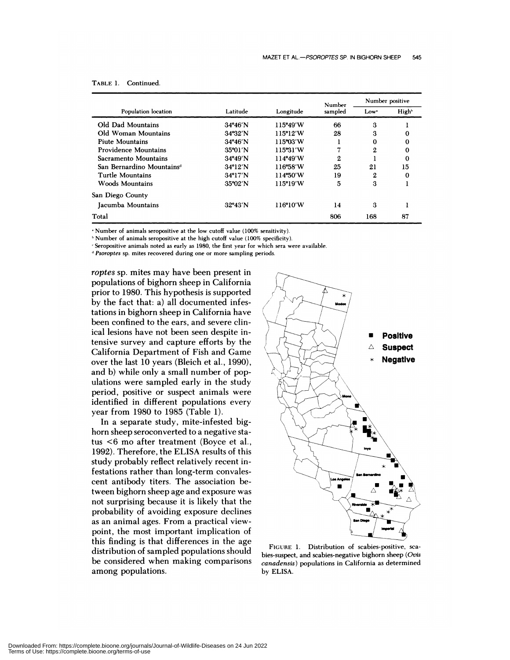| Population location                   | Latitude          | Longitude | Number<br>sampled | Number positive |                   |
|---------------------------------------|-------------------|-----------|-------------------|-----------------|-------------------|
|                                       |                   |           |                   | Low*            | High <sup>b</sup> |
| Old Dad Mountains                     | $34^{\circ}46'$ N | 115°49'W  | 66                | 3               |                   |
| Old Woman Mountains                   | $34^{\circ}32'$ N | 115°12'W  | 28                | 3               | 0                 |
| <b>Piute Mountains</b>                | $34^{\circ}46'$ N | 115°03′W  |                   | 0               | 0                 |
| Providence Mountains                  | 35°01′N           | 115°31'W  | 7                 | $\mathbf{2}$    | 0                 |
| Sacramento Mountains                  | 34°49'N           | 114°49'W  | 2                 |                 | 0                 |
| San Bernardino Mountains <sup>d</sup> | $34^{\circ}12'$ N | 116°58′W  | 25                | 21              | 15                |
| Turtle Mountains                      | $34^{\circ}17'$ N | 114°50'W  | 19                | 2               | 0                 |
| Woods Mountains                       | $35^{\circ}02'$ N | 115°19'W  | 5                 | 3               |                   |
| San Diego County                      |                   |           |                   |                 |                   |
| Jacumba Mountains                     | $32^{\circ}43'$ N | 116°10′W  | 14                | 3               |                   |
| Total                                 |                   |           | 806               | 168             | 87                |

## **TABLE 1. Continued.**

Number of animals seropositive at the low cutoff value (100% sensitivity).

<sup>b</sup> Number of animals seropositive at the high cutoff value (100% specificity).

Seropositive animals noted as early as **1980, the first** year for which sera were available.

*Psoroptes* sp. mites recovered during one or more sampling periods.

*roptes* sp. mites may have been present in populations of bighorn sheep in California prior to 1980. This hypothesis is supported by the fact that: a) all documented infestations in bighorn sheep in California have been confined to the ears, and severe clinical lesions have not been seen despite intensive survey and capture efforts by the California Department of Fish and Game over the last 10 years (Bleich et al., 1990), and b) while only a small number of populations were sampled early in the study period, positive or suspect animals were identified in different populations every year from 1980 to 1985 (Table 1).

In a separate study, mite-infested bighorn sheep seroconverted to a negative status <6 mo after treatment (Boyce et a!., 1992). Therefore, the ELISA results of this study probably reflect relatively recent infestations rather than long-term convalescent antibody titers. The association between bighorn sheep age and exposure was not surprising because it is likely that the probability of avoiding exposure declines as an animal ages. From a practical viewpoint, the most important implication of this finding is that differences in the age distribution of sampled populations should be considered when making comparisons among populations.



**FIGURE 1. Distribution of scabies-positive, sea bies-suspect, and scabies-negative bighorn sheep** *(Otis canadensis)* **populations in California as determined** by ELISA.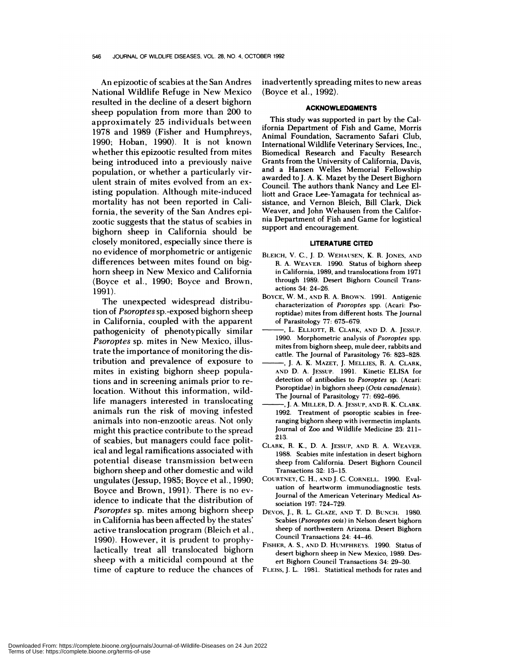An epizootic of scabies at the San Andres National Wildlife Refuge in New Mexico resulted in the decline of a desert bighorn sheep population from more than 200 to approximately 25 individuals between 1978 and 1989 (Fisher and Humphreys, 1990; Hoban, 1990). It is not known whether this epizootic resulted from mites being introduced into a previously naive population, or whether a particularly virulent strain of mites evolved from an existing population. Although mite-induced mortality has not been reported in California, the severity of the San Andres epizootic suggests that the status of scabies in bighonn sheep in California should be closely monitored, especially since there is no evidence of morphometric or antigenic differences between mites found on bighorn sheep in New Mexico and California (Boyce et a!., 1990; Boyce and Brown, 1991).

The unexpected widespread distribution of *Psonoptes* sp.-exposed bighorn sheep in California, coupled with the apparent pathogenicity of phenotypically similar *Psoroptes* sp. mites in New Mexico, illustrate the importance of monitoring the distribution and prevalence of exposure to mites in existing bighorn sheep populations and in screening animals prior to relocation. Without this information, wildlife managers interested in translocating animals run the risk of moving infested animals into non-enzootic areas. Not only might this practice contribute to the spread of scabies, but managers could face political and legal ramifications associated with potential disease transmission between bighorn sheep and other domestic and wild ungulates (Jessup, 1985; Boyce et al., 1990; Boyce and Brown, 1991). There is no evidence to indicate that the distribution of *Psoroptes* sp. mites among bighorn sheep in California has been affected by the states' active translocation program (Bleich et al., 1990). However, it is prudent to prophylactically treat all translocated bighorn sheep with a miticidal compound at the time of capture to reduce the chances of inadvertently spreading mites to new areas (Boyce et al., 1992).

#### **ACKNOWLEDGMENTS**

This study was supported in part by the California Department of Fish and Game, Morris Animal Foundation, Sacramento Safari Club, International Wildlife Veterinary Services, Inc., Biomedical Research and Faculty Research Grants from the University of California, Davis, and a Hansen Welles Memorial Fellowship awarded to J. A. K. Mazet by the Desert Bighorn Council. The authors thank Nancy and Lee Elliott and Grace Lee-Yamagata for technical as sistance, and Vernon Bleich, Bill Clark, Dick Weaver, and John Wehausen from the California Department of Fish and Game for logistical support and encouragement.

#### **LITERATURE CITED**

- **BLEICH,** V. C., J. D. **WEHAUSEN,** K. R. **JONES, AND** H. **A. WEAVER.** 1990. Status of bighorn sheep **in California,** 1989, **and translocations from 1971 through** 1989. Desert Bighorn Council Trans actions 34: 24-26.
- **BOYCE, W.** M., **AND** H. A. BROWN. 1991. Antigenic characterization of *Psoroptes* spp. (Acari: Pso roptidae) mites from different hosts. The Journal **of Parasitology** 77: 675-679.
- L. **ELLIOTT,** H. **CLARK, AND** D. **A. JESSUP.** 1990. Morphometric analysis of *Psoroptes* **spp.** mites from bighorn sheep, mule deer, rabbits and cattle. The Journal of Parasitology 76: 823-828.
- J. A. K. **MAZET,** J. **MELLIES,** R. A. **CLARK, AND** D.**A. JESSUP.** 1991. **Kinetic** ELISA **for detection of antibodies to** *Psoroptes* sp. (Acari: **Psoroptidae) in bighorn sheep** *(Otis canadensis).* The **Journal of Parasitology** 77: 692-696.
- J. **A. MILLER,** D. A. **JESSUP, AND** R. K. **CLARK.** 1992. **Treatment of psoroptic scabies in free ranging bighorn sheep** with ivermectin implants. **Journal of Zoo and** Wildlife Medicine 23: 211- 213.
- **CLARK,** H. K., D. **A. JESSUP, AND** H. **A. WEAVER.** 1988. Scabies mite infestation in desert bighorn sheep from California. Desert Bighorn Council Transactions 32: 13-15.
- COURTNEY, C. H., **AND** J. C. **CORNELL.** 1990. Evaluation of heartworm immunodiagnostic tests. Journal of the American Veterinary Medical Association 197: 724-729.
- **DEVOS,** J., H. L. **GLAZE, AND** T. D. **BUNCH.** 1980. **Scabies** (Psoroptes *ovis)* in Nelson desert bighorn sheep of northwestern Arizona. Desert Bighorn Council Transactions 24: 44-46.
- **FISHER,** A. S., AND D.**HUMPHREYS.** 1990. Status of desert bighorn sheep in New Mexico, 1989. **Des ert Bighorn Council Transactions** 34: 29-30.
- **FLEISS,** J. L. 1981. **Statistical methods for rates and**